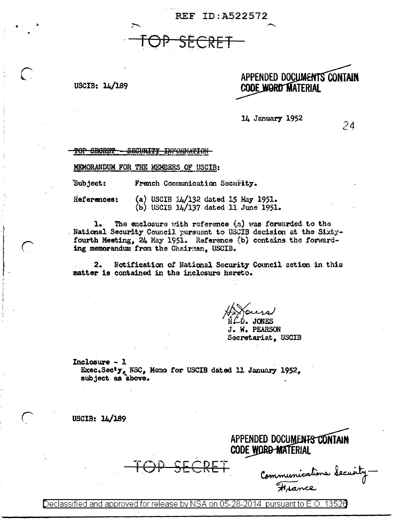REF ID:A522572

## USCIB: 14/189

## APPENDED DOCUMENTS CONTAIN **CODE WORD MATERIAL**

14 January 1952

24

TOP SECRET-<u>SEGURITY INFORMATION</u>

MEMORANDUM FOR THE MEMBERS OF USCIB:

 $\ddot{}$ Subject: French Communication Security.

References:

(a) USCIB  $14/132$  dated 15 May 1951. (b) USCIB  $14/137$  dated 11 June 1951.

The enclosure with reference (a) was forwarded to the 1. National Security Council pursuent to USCIB decision at the Sixtyfourth Mesting, 24 May 1951. Reference (b) contains the forwarding memorandum from the Chairman, USCIB.

 $2.$ Notification of National Security Council action in this matter is contained in the inclosure hereto.

O. JONES J. W. PEARSON Secretariat, USCIB

Inclosure - 1 Exec.Sec'y, NSC, Memo for USCIB dated 11 January 1952, subject as above.

USCIB:  $14/189$ 

APPENDED DOCUMENTS CONTAIN **CODE WORD-MATERIAL** 

Communications Security.

Declassified and approved for release by NSA on 05-28-2014  $\,$  pursuant to E.O. 13526  $\,$